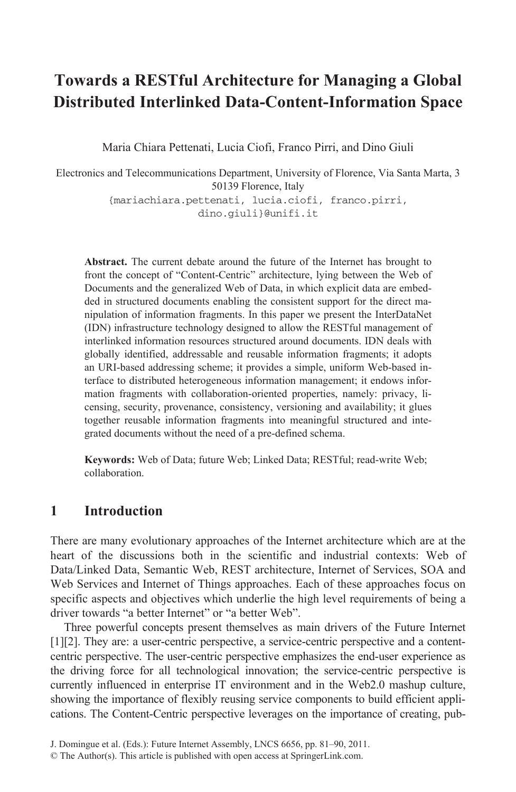# **Towards a RESTful Architecture for Managing a Global Distributed Interlinked Data-Content-Information Space**

Maria Chiara Pettenati, Lucia Ciofi, Franco Pirri, and Dino Giuli

Electronics and Telecommunications Department, University of Florence, Via Santa Marta, 3 50139 Florence, Italy {mariachiara.pettenati, lucia.ciofi, franco.pirri, dino.giuli}@unifi.it

**Abstract.** The current debate around the future of the Internet has brought to front the concept of "Content-Centric" architecture, lying between the Web of Documents and the generalized Web of Data, in which explicit data are embedded in structured documents enabling the consistent support for the direct manipulation of information fragments. In this paper we present the InterDataNet (IDN) infrastructure technology designed to allow the RESTful management of interlinked information resources structured around documents. IDN deals with globally identified, addressable and reusable information fragments; it adopts an URI-based addressing scheme; it provides a simple, uniform Web-based interface to distributed heterogeneous information management; it endows information fragments with collaboration-oriented properties, namely: privacy, licensing, security, provenance, consistency, versioning and availability; it glues together reusable information fragments into meaningful structured and integrated documents without the need of a pre-defined schema.

**Keywords:** Web of Data; future Web; Linked Data; RESTful; read-write Web; collaboration.

#### **1 Introduction**

There are many evolutionary approaches of the Internet architecture which are at the heart of the discussions both in the scientific and industrial contexts: Web of Data/Linked Data, Semantic Web, REST architecture, Internet of Services, SOA and Web Services and Internet of Things approaches. Each of these approaches focus on specific aspects and objectives which underlie the high level requirements of being a driver towards "a better Internet" or "a better Web".

Three powerful concepts present themselves as main drivers of the Future Internet [1][2]. They are: a user-centric perspective, a service-centric perspective and a contentcentric perspective. The user-centric perspective emphasizes the end-user experience as the driving force for all technological innovation; the service-centric perspective is currently influenced in enterprise IT environment and in the Web2.0 mashup culture, showing the importance of flexibly reusing service components to build efficient applications. The Content-Centric perspective leverages on the importance of creating, pub-

J. Domingue et al. (Eds.): Future Internet Assembly, LNCS 6656, pp. 81–90, 2011.

<sup>©</sup> The Author(s). This article is published with open access at SpringerLink.com.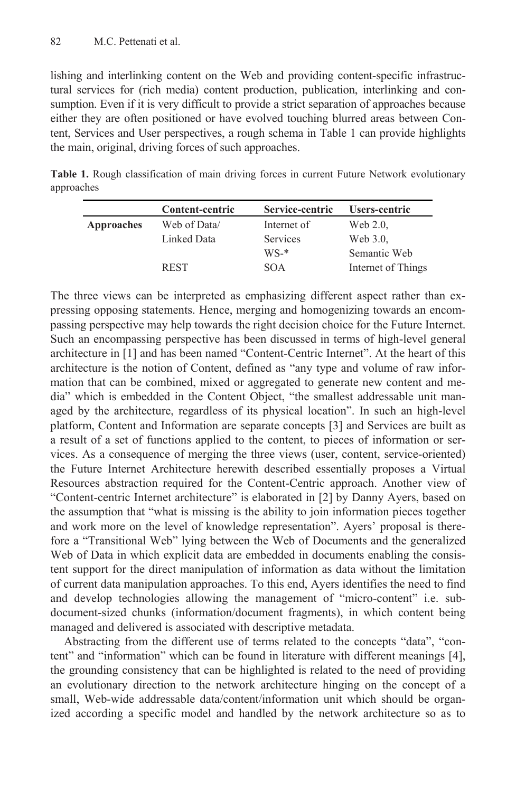lishing and interlinking content on the Web and providing content-specific infrastructural services for (rich media) content production, publication, interlinking and consumption. Even if it is very difficult to provide a strict separation of approaches because either they are often positioned or have evolved touching blurred areas between Content, Services and User perspectives, a rough schema in Table 1 can provide highlights the main, original, driving forces of such approaches.

**Table 1.** Rough classification of main driving forces in current Future Network evolutionary approaches

|            | Content-centric | Service-centric | Users-centric      |
|------------|-----------------|-----------------|--------------------|
| Approaches | Web of Data/    | Internet of     | Web 2.0,           |
|            | Linked Data     | Services        | Web 3.0,           |
|            |                 | $WS-*$          | Semantic Web       |
|            | <b>REST</b>     | <b>SOA</b>      | Internet of Things |

The three views can be interpreted as emphasizing different aspect rather than expressing opposing statements. Hence, merging and homogenizing towards an encompassing perspective may help towards the right decision choice for the Future Internet. Such an encompassing perspective has been discussed in terms of high-level general architecture in [1] and has been named "Content-Centric Internet". At the heart of this architecture is the notion of Content, defined as "any type and volume of raw information that can be combined, mixed or aggregated to generate new content and media" which is embedded in the Content Object, "the smallest addressable unit managed by the architecture, regardless of its physical location". In such an high-level platform, Content and Information are separate concepts [3] and Services are built as a result of a set of functions applied to the content, to pieces of information or services. As a consequence of merging the three views (user, content, service-oriented) the Future Internet Architecture herewith described essentially proposes a Virtual Resources abstraction required for the Content-Centric approach. Another view of "Content-centric Internet architecture" is elaborated in [2] by Danny Ayers, based on the assumption that "what is missing is the ability to join information pieces together and work more on the level of knowledge representation". Ayers' proposal is therefore a "Transitional Web" lying between the Web of Documents and the generalized Web of Data in which explicit data are embedded in documents enabling the consistent support for the direct manipulation of information as data without the limitation of current data manipulation approaches. To this end, Ayers identifies the need to find and develop technologies allowing the management of "micro-content" i.e. subdocument-sized chunks (information/document fragments), in which content being managed and delivered is associated with descriptive metadata.

Abstracting from the different use of terms related to the concepts "data", "content" and "information" which can be found in literature with different meanings [4], the grounding consistency that can be highlighted is related to the need of providing an evolutionary direction to the network architecture hinging on the concept of a small, Web-wide addressable data/content/information unit which should be organized according a specific model and handled by the network architecture so as to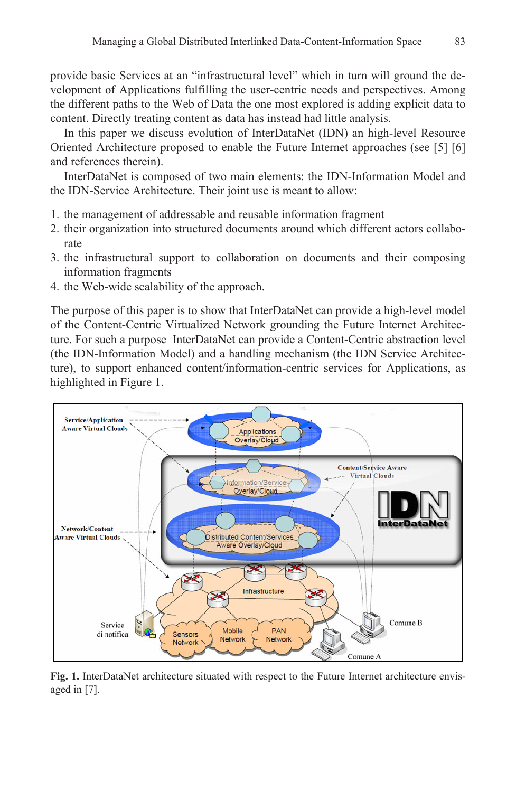provide basic Services at an "infrastructural level" which in turn will ground the development of Applications fulfilling the user-centric needs and perspectives. Among the different paths to the Web of Data the one most explored is adding explicit data to content. Directly treating content as data has instead had little analysis.

In this paper we discuss evolution of InterDataNet (IDN) an high-level Resource Oriented Architecture proposed to enable the Future Internet approaches (see [5] [6] and references therein).

InterDataNet is composed of two main elements: the IDN-Information Model and the IDN-Service Architecture. Their joint use is meant to allow:

- 1. the management of addressable and reusable information fragment
- 2. their organization into structured documents around which different actors collaborate
- 3. the infrastructural support to collaboration on documents and their composing information fragments
- 4. the Web-wide scalability of the approach.

The purpose of this paper is to show that InterDataNet can provide a high-level model of the Content-Centric Virtualized Network grounding the Future Internet Architecture. For such a purpose InterDataNet can provide a Content-Centric abstraction level (the IDN-Information Model) and a handling mechanism (the IDN Service Architecture), to support enhanced content/information-centric services for Applications, as highlighted in Figure 1.



**Fig. 1.** InterDataNet architecture situated with respect to the Future Internet architecture envisaged in [7].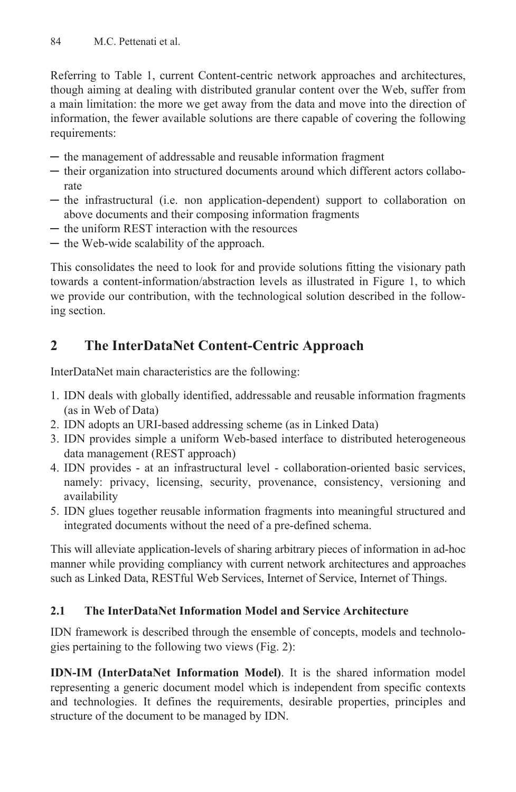Referring to Table 1, current Content-centric network approaches and architectures, though aiming at dealing with distributed granular content over the Web, suffer from a main limitation: the more we get away from the data and move into the direction of information, the fewer available solutions are there capable of covering the following requirements:

- ─ the management of addressable and reusable information fragment
- ─ their organization into structured documents around which different actors collaborate
- ─ the infrastructural (i.e. non application-dependent) support to collaboration on above documents and their composing information fragments
- ─ the uniform REST interaction with the resources
- ─ the Web-wide scalability of the approach.

This consolidates the need to look for and provide solutions fitting the visionary path towards a content-information/abstraction levels as illustrated in Figure 1, to which we provide our contribution, with the technological solution described in the following section.

## **2 The InterDataNet Content-Centric Approach**

InterDataNet main characteristics are the following:

- 1. IDN deals with globally identified, addressable and reusable information fragments (as in Web of Data)
- 2. IDN adopts an URI-based addressing scheme (as in Linked Data)
- 3. IDN provides simple a uniform Web-based interface to distributed heterogeneous data management (REST approach)
- 4. IDN provides at an infrastructural level collaboration-oriented basic services, namely: privacy, licensing, security, provenance, consistency, versioning and availability
- 5. IDN glues together reusable information fragments into meaningful structured and integrated documents without the need of a pre-defined schema.

This will alleviate application-levels of sharing arbitrary pieces of information in ad-hoc manner while providing compliancy with current network architectures and approaches such as Linked Data, RESTful Web Services, Internet of Service, Internet of Things.

### **2.1 The InterDataNet Information Model and Service Architecture**

IDN framework is described through the ensemble of concepts, models and technologies pertaining to the following two views (Fig. 2):

**IDN-IM (InterDataNet Information Model)**. It is the shared information model representing a generic document model which is independent from specific contexts and technologies. It defines the requirements, desirable properties, principles and structure of the document to be managed by IDN.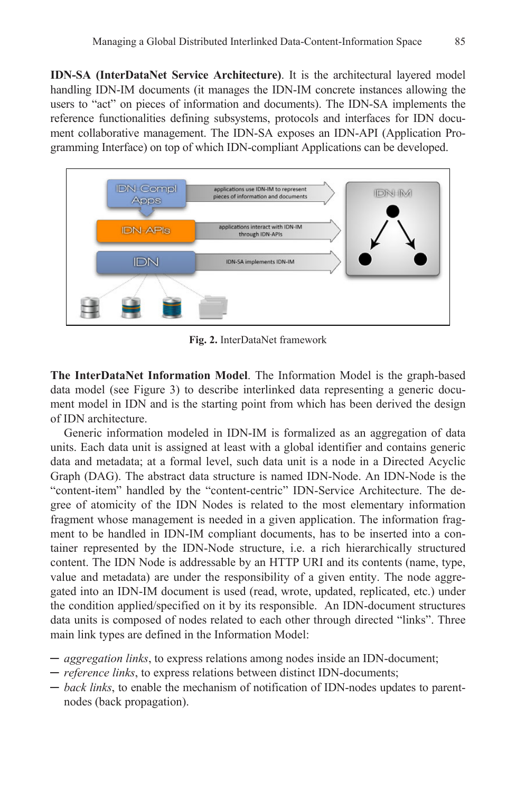**IDN-SA (InterDataNet Service Architecture)**. It is the architectural layered model handling IDN-IM documents (it manages the IDN-IM concrete instances allowing the users to "act" on pieces of information and documents). The IDN-SA implements the reference functionalities defining subsystems, protocols and interfaces for IDN document collaborative management. The IDN-SA exposes an IDN-API (Application Programming Interface) on top of which IDN-compliant Applications can be developed.



**Fig. 2.** InterDataNet framework

**The InterDataNet Information Model**. The Information Model is the graph-based data model (see Figure 3) to describe interlinked data representing a generic document model in IDN and is the starting point from which has been derived the design of IDN architecture.

Generic information modeled in IDN-IM is formalized as an aggregation of data units. Each data unit is assigned at least with a global identifier and contains generic data and metadata; at a formal level, such data unit is a node in a Directed Acyclic Graph (DAG). The abstract data structure is named IDN-Node. An IDN-Node is the "content-item" handled by the "content-centric" IDN-Service Architecture. The degree of atomicity of the IDN Nodes is related to the most elementary information fragment whose management is needed in a given application. The information fragment to be handled in IDN-IM compliant documents, has to be inserted into a container represented by the IDN-Node structure, i.e. a rich hierarchically structured content. The IDN Node is addressable by an HTTP URI and its contents (name, type, value and metadata) are under the responsibility of a given entity. The node aggregated into an IDN-IM document is used (read, wrote, updated, replicated, etc.) under the condition applied/specified on it by its responsible. An IDN-document structures data units is composed of nodes related to each other through directed "links". Three main link types are defined in the Information Model:

- ─ *aggregation links*, to express relations among nodes inside an IDN-document;
- ─ *reference links*, to express relations between distinct IDN-documents;
- ─ *back links*, to enable the mechanism of notification of IDN-nodes updates to parentnodes (back propagation).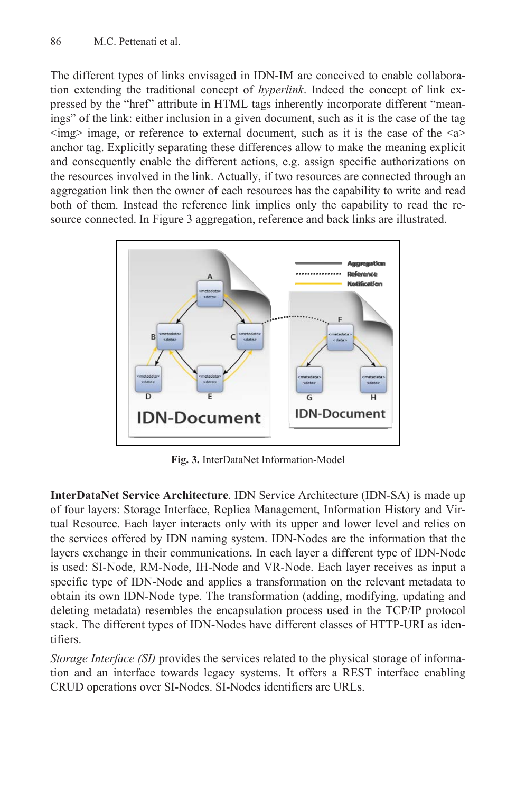The different types of links envisaged in IDN-IM are conceived to enable collaboration extending the traditional concept of *hyperlink*. Indeed the concept of link expressed by the "href" attribute in HTML tags inherently incorporate different "meanings" of the link: either inclusion in a given document, such as it is the case of the tag  $\langle \text{img} \rangle$  image, or reference to external document, such as it is the case of the  $\langle a \rangle$ anchor tag. Explicitly separating these differences allow to make the meaning explicit and consequently enable the different actions, e.g. assign specific authorizations on the resources involved in the link. Actually, if two resources are connected through an aggregation link then the owner of each resources has the capability to write and read both of them. Instead the reference link implies only the capability to read the resource connected. In Figure 3 aggregation, reference and back links are illustrated.



**Fig. 3.** InterDataNet Information-Model

**InterDataNet Service Architecture**. IDN Service Architecture (IDN-SA) is made up of four layers: Storage Interface, Replica Management, Information History and Virtual Resource. Each layer interacts only with its upper and lower level and relies on the services offered by IDN naming system. IDN-Nodes are the information that the layers exchange in their communications. In each layer a different type of IDN-Node is used: SI-Node, RM-Node, IH-Node and VR-Node. Each layer receives as input a specific type of IDN-Node and applies a transformation on the relevant metadata to obtain its own IDN-Node type. The transformation (adding, modifying, updating and deleting metadata) resembles the encapsulation process used in the TCP/IP protocol stack. The different types of IDN-Nodes have different classes of HTTP-URI as identifiers.

*Storage Interface (SI)* provides the services related to the physical storage of information and an interface towards legacy systems. It offers a REST interface enabling CRUD operations over SI-Nodes. SI-Nodes identifiers are URLs.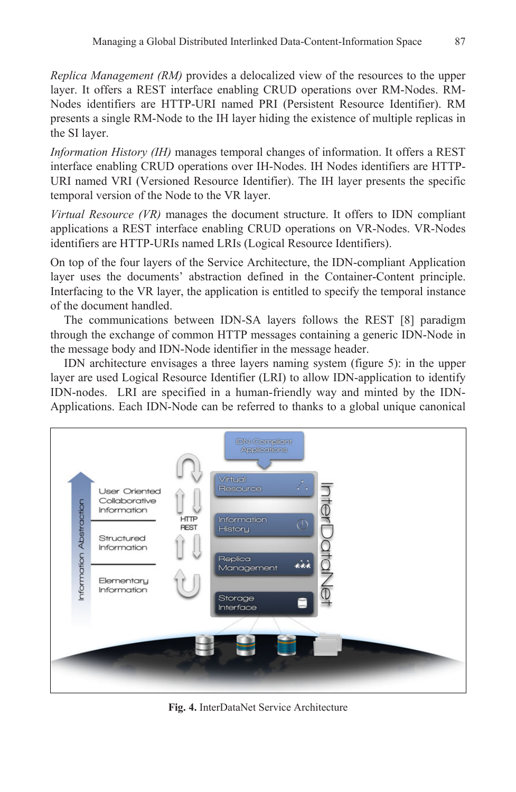*Replica Management (RM)* provides a delocalized view of the resources to the upper layer. It offers a REST interface enabling CRUD operations over RM-Nodes. RM-Nodes identifiers are HTTP-URI named PRI (Persistent Resource Identifier). RM presents a single RM-Node to the IH layer hiding the existence of multiple replicas in the SI layer.

*Information History (IH)* manages temporal changes of information. It offers a REST interface enabling CRUD operations over IH-Nodes. IH Nodes identifiers are HTTP-URI named VRI (Versioned Resource Identifier). The IH layer presents the specific temporal version of the Node to the VR layer.

*Virtual Resource (VR)* manages the document structure. It offers to IDN compliant applications a REST interface enabling CRUD operations on VR-Nodes. VR-Nodes identifiers are HTTP-URIs named LRIs (Logical Resource Identifiers).

On top of the four layers of the Service Architecture, the IDN-compliant Application layer uses the documents' abstraction defined in the Container-Content principle. Interfacing to the VR layer, the application is entitled to specify the temporal instance of the document handled.

The communications between IDN-SA layers follows the REST [8] paradigm through the exchange of common HTTP messages containing a generic IDN-Node in the message body and IDN-Node identifier in the message header.

IDN architecture envisages a three layers naming system (figure 5): in the upper layer are used Logical Resource Identifier (LRI) to allow IDN-application to identify IDN-nodes. LRI are specified in a human-friendly way and minted by the IDN-Applications. Each IDN-Node can be referred to thanks to a global unique canonical



**Fig. 4.** InterDataNet Service Architecture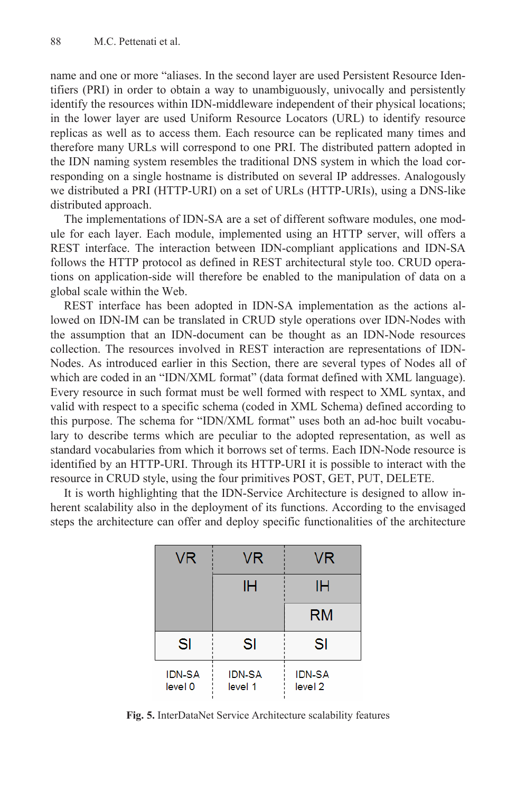name and one or more "aliases. In the second layer are used Persistent Resource Identifiers (PRI) in order to obtain a way to unambiguously, univocally and persistently identify the resources within IDN-middleware independent of their physical locations; in the lower layer are used Uniform Resource Locators (URL) to identify resource replicas as well as to access them. Each resource can be replicated many times and therefore many URLs will correspond to one PRI. The distributed pattern adopted in the IDN naming system resembles the traditional DNS system in which the load corresponding on a single hostname is distributed on several IP addresses. Analogously we distributed a PRI (HTTP-URI) on a set of URLs (HTTP-URIs), using a DNS-like distributed approach.

The implementations of IDN-SA are a set of different software modules, one module for each layer. Each module, implemented using an HTTP server, will offers a REST interface. The interaction between IDN-compliant applications and IDN-SA follows the HTTP protocol as defined in REST architectural style too. CRUD operations on application-side will therefore be enabled to the manipulation of data on a global scale within the Web.

REST interface has been adopted in IDN-SA implementation as the actions allowed on IDN-IM can be translated in CRUD style operations over IDN-Nodes with the assumption that an IDN-document can be thought as an IDN-Node resources collection. The resources involved in REST interaction are representations of IDN-Nodes. As introduced earlier in this Section, there are several types of Nodes all of which are coded in an "IDN/XML format" (data format defined with XML language). Every resource in such format must be well formed with respect to XML syntax, and valid with respect to a specific schema (coded in XML Schema) defined according to this purpose. The schema for "IDN/XML format" uses both an ad-hoc built vocabulary to describe terms which are peculiar to the adopted representation, as well as standard vocabularies from which it borrows set of terms. Each IDN-Node resource is identified by an HTTP-URI. Through its HTTP-URI it is possible to interact with the resource in CRUD style, using the four primitives POST, GET, PUT, DELETE.

It is worth highlighting that the IDN-Service Architecture is designed to allow inherent scalability also in the deployment of its functions. According to the envisaged steps the architecture can offer and deploy specific functionalities of the architecture

| <b>VR</b>                | VR                       | VR                                  |
|--------------------------|--------------------------|-------------------------------------|
|                          | ΙH                       | ΙH                                  |
|                          |                          | <b>RM</b>                           |
| SI                       | SI                       | SI                                  |
| <b>IDN-SA</b><br>level 0 | <b>IDN-SA</b><br>level 1 | <b>IDN-SA</b><br>level <sub>2</sub> |

**Fig. 5.** InterDataNet Service Architecture scalability features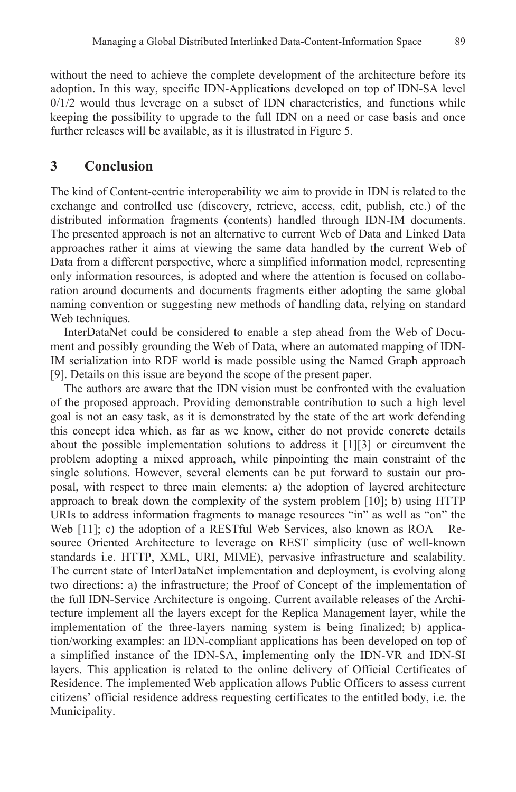without the need to achieve the complete development of the architecture before its adoption. In this way, specific IDN-Applications developed on top of IDN-SA level  $0/1/2$  would thus leverage on a subset of IDN characteristics, and functions while keeping the possibility to upgrade to the full IDN on a need or case basis and once further releases will be available, as it is illustrated in Figure 5.

#### **3 Conclusion**

The kind of Content-centric interoperability we aim to provide in IDN is related to the exchange and controlled use (discovery, retrieve, access, edit, publish, etc.) of the distributed information fragments (contents) handled through IDN-IM documents. The presented approach is not an alternative to current Web of Data and Linked Data approaches rather it aims at viewing the same data handled by the current Web of Data from a different perspective, where a simplified information model, representing only information resources, is adopted and where the attention is focused on collaboration around documents and documents fragments either adopting the same global naming convention or suggesting new methods of handling data, relying on standard Web techniques.

InterDataNet could be considered to enable a step ahead from the Web of Document and possibly grounding the Web of Data, where an automated mapping of IDN-IM serialization into RDF world is made possible using the Named Graph approach [9]. Details on this issue are beyond the scope of the present paper.

The authors are aware that the IDN vision must be confronted with the evaluation of the proposed approach. Providing demonstrable contribution to such a high level goal is not an easy task, as it is demonstrated by the state of the art work defending this concept idea which, as far as we know, either do not provide concrete details about the possible implementation solutions to address it [1][3] or circumvent the problem adopting a mixed approach, while pinpointing the main constraint of the single solutions. However, several elements can be put forward to sustain our proposal, with respect to three main elements: a) the adoption of layered architecture approach to break down the complexity of the system problem [10]; b) using HTTP URIs to address information fragments to manage resources "in" as well as "on" the Web [11]; c) the adoption of a RESTful Web Services, also known as ROA – Resource Oriented Architecture to leverage on REST simplicity (use of well-known standards i.e. HTTP, XML, URI, MIME), pervasive infrastructure and scalability. The current state of InterDataNet implementation and deployment, is evolving along two directions: a) the infrastructure; the Proof of Concept of the implementation of the full IDN-Service Architecture is ongoing. Current available releases of the Architecture implement all the layers except for the Replica Management layer, while the implementation of the three-layers naming system is being finalized; b) application/working examples: an IDN-compliant applications has been developed on top of a simplified instance of the IDN-SA, implementing only the IDN-VR and IDN-SI layers. This application is related to the online delivery of Official Certificates of Residence. The implemented Web application allows Public Officers to assess current citizens' official residence address requesting certificates to the entitled body, i.e. the Municipality.